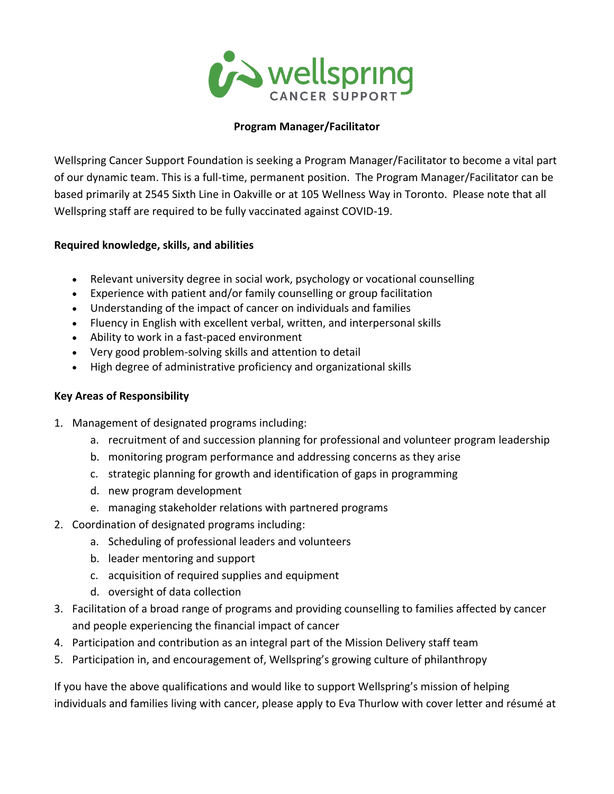

## **Program Manager/Facilitator**

Wellspring Cancer Support Foundation is seeking a Program Manager/Facilitator to become a vital part of our dynamic team. This is a full-time, permanent position. The Program Manager/Facilitator can be based primarily at 2545 Sixth Line in Oakville or at 105 Wellness Way in Toronto. Please note that all Wellspring staff are required to be fully vaccinated against COVID-19.

## **Required knowledge, skills, and abilities**

- Relevant university degree in social work, psychology or vocational counselling
- Experience with patient and/or family counselling or group facilitation
- Understanding of the impact of cancer on individuals and families
- Fluency in English with excellent verbal, written, and interpersonal skills
- Ability to work in a fast-paced environment
- Very good problem-solving skills and attention to detail
- High degree of administrative proficiency and organizational skills

## **Key Areas of Responsibility**

- 1. Management of designated programs including:
	- a. recruitment of and succession planning for professional and volunteer program leadership
	- b. monitoring program performance and addressing concerns as they arise
	- c. strategic planning for growth and identification of gaps in programming
	- d. new program development
	- e. managing stakeholder relations with partnered programs
- 2. Coordination of designated programs including:
	- a. Scheduling of professional leaders and volunteers
	- b. leader mentoring and support
	- c. acquisition of required supplies and equipment
	- d. oversight of data collection
- 3. Facilitation of a broad range of programs and providing counselling to families affected by cancer and people experiencing the financial impact of cancer
- 4. Participation and contribution as an integral part of the Mission Delivery staff team
- 5. Participation in, and encouragement of, Wellspring's growing culture of philanthropy

If you have the above qualifications and would like to support Wellspring's mission of helping individuals and families living with cancer, please apply to Eva Thurlow with cover letter and résumé at